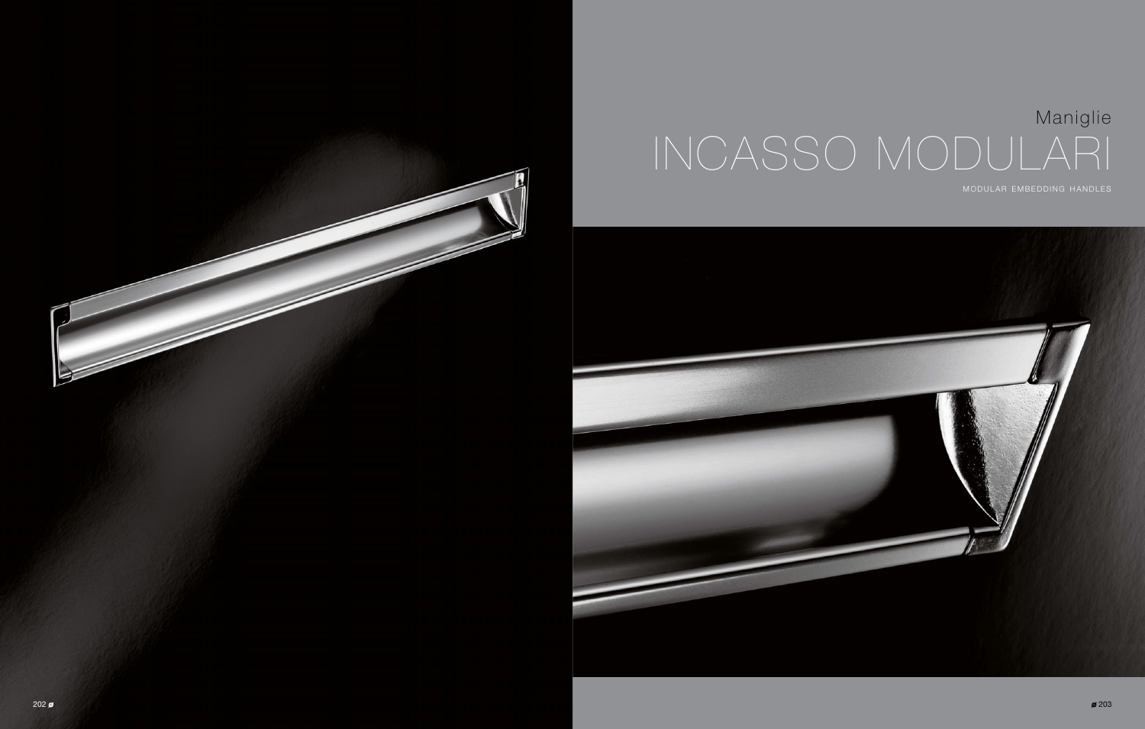

# Maniglie INCASSO MODULARI MODULAR EMBEDDING HANDLES



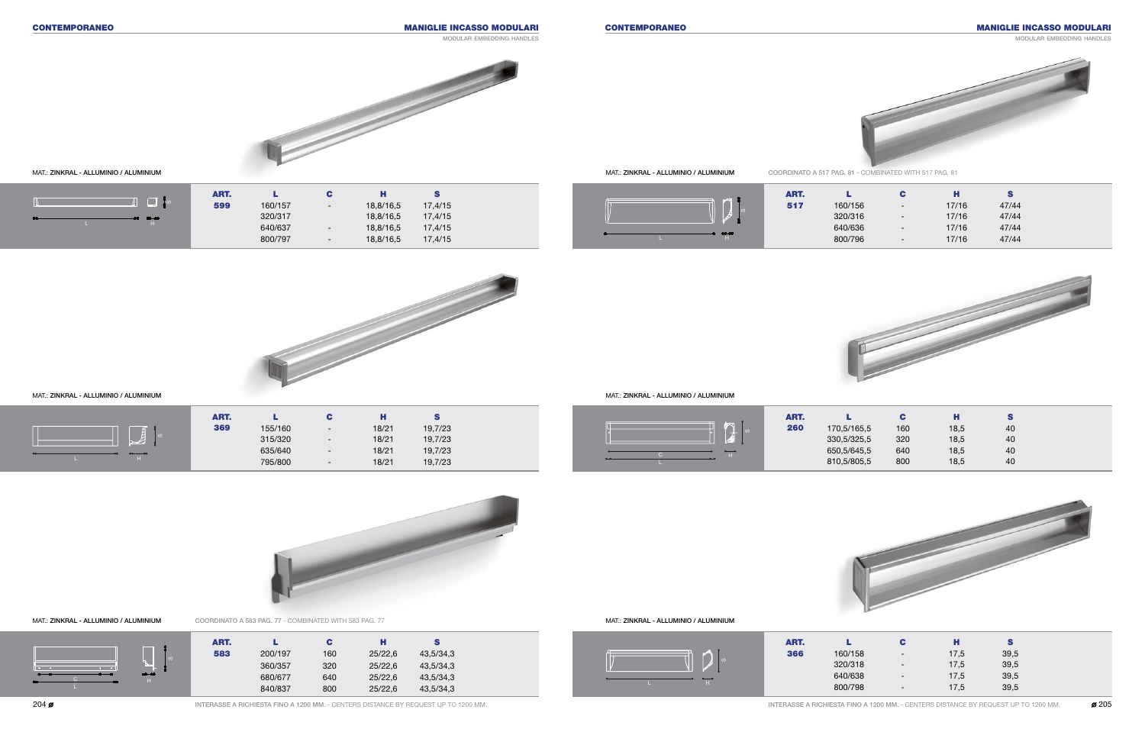#### MAT.: ZINKRAL - ALLUMINIO / ALUMINIUM MAT.: ZINKRAL - ALLUMINIO / ALUMINIUM



#### CONTEMPORANEO CONTEMPORANEO MANIGLIE INCASSO MODULARI

## MANIGLIE INCASSO MODULARI

modular embedding handles

modular embedding handles



| ART. |         | С                        | н    | S    |
|------|---------|--------------------------|------|------|
| 366  | 160/158 | $\overline{\phantom{a}}$ | 17,5 | 39,5 |
|      | 320/318 | $\overline{\phantom{a}}$ | 17,5 | 39,5 |
|      | 640/638 | $\overline{\phantom{a}}$ | 17,5 | 39,5 |
|      | 800/798 | $\overline{\phantom{a}}$ | 17,5 | 39,5 |

| ART. |             | С   | н    | S  |
|------|-------------|-----|------|----|
| 260  | 170,5/165,5 | 160 | 18,5 | 40 |
|      | 330,5/325,5 | 320 | 18,5 | 40 |
|      | 650,5/645,5 | 640 | 18,5 | 40 |
|      | 810,5/805,5 | 800 | 18,5 | 40 |



| ART. |         | С                        | н     | s     |
|------|---------|--------------------------|-------|-------|
| 517  | 160/156 | $\overline{\phantom{a}}$ | 17/16 | 47/44 |
|      | 320/316 | $\overline{\phantom{a}}$ | 17/16 | 47/44 |
|      | 640/636 | $\overline{\phantom{a}}$ | 17/16 | 47/44 |
|      | 800/796 | $\overline{\phantom{a}}$ | 17/16 | 47/44 |



MAT.: ZINKRAL - ALLUMINIO / ALUMINIUM MAT.: ZINKRAL - ALLUMINIO / ALUMINIUM COORDINATO A 583 PAG. 77 - COMBINATED WITH 583 PAG. 77



|           | ART. |         |                          | . .   |         |  |
|-----------|------|---------|--------------------------|-------|---------|--|
|           | 369  | 155/160 | $\overline{\phantom{0}}$ | 18/21 | 19,7/23 |  |
| ്ഗ<br>$-$ |      | 315/320 | $\overline{\phantom{0}}$ | 18/21 | 19,7/23 |  |
|           |      | 635/640 | $\overline{\phantom{0}}$ | 18/21 | 19,7/23 |  |
|           |      | 795/800 | $\overline{\phantom{0}}$ | 18/21 | 19,7/23 |  |





C

L



|              | ART. |         |                          | Н         |         |
|--------------|------|---------|--------------------------|-----------|---------|
| $\Box$<br>ျဖ | 599  | 160/157 | $\overline{\phantom{a}}$ | 18,8/16,5 | 17,4/15 |
| $00 - 00$    |      | 320/317 |                          | 18,8/16,5 | 17,4/15 |
|              |      | 640/637 | $\overline{\phantom{0}}$ | 18,8/16,5 | 17,4/15 |
|              |      | 800/797 | $\overline{\phantom{0}}$ | 18,8/16,5 | 17,4/15 |





COORDINATO A 517 PAG. 81 - COMBINATED WITH 517 PAG. 81